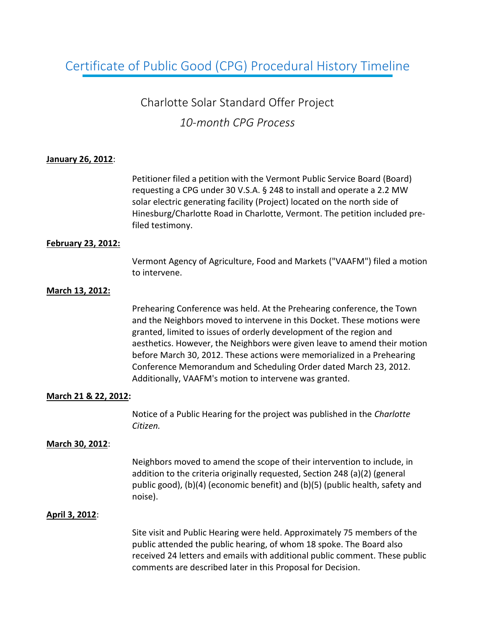# Certificate of Public Good (CPG) Procedural History Timeline

# Charlotte Solar Standard Offer Project *10-month CPG Process*

### **January 26, 2012**:

Petitioner filed a petition with the Vermont Public Service Board (Board) requesting a CPG under 30 V.S.A. § 248 to install and operate a 2.2 MW solar electric generating facility (Project) located on the north side of Hinesburg/Charlotte Road in Charlotte, Vermont. The petition included prefiled testimony.

### **February 23, 2012:**

Vermont Agency of Agriculture, Food and Markets ("VAAFM") filed a motion to intervene.

### **March 13, 2012:**

Prehearing Conference was held. At the Prehearing conference, the Town and the Neighbors moved to intervene in this Docket. These motions were granted, limited to issues of orderly development of the region and aesthetics. However, the Neighbors were given leave to amend their motion before March 30, 2012. These actions were memorialized in a Prehearing Conference Memorandum and Scheduling Order dated March 23, 2012. Additionally, VAAFM's motion to intervene was granted.

### **March 21 & 22, 2012:**

Notice of a Public Hearing for the project was published in the *Charlotte Citizen.*

### **March 30, 2012**:

Neighbors moved to amend the scope of their intervention to include, in addition to the criteria originally requested, Section 248 (a)(2) (general public good), (b)(4) (economic benefit) and (b)(5) (public health, safety and noise).

### **April 3, 2012**:

Site visit and Public Hearing were held. Approximately 75 members of the public attended the public hearing, of whom 18 spoke. The Board also received 24 letters and emails with additional public comment. These public comments are described later in this Proposal for Decision.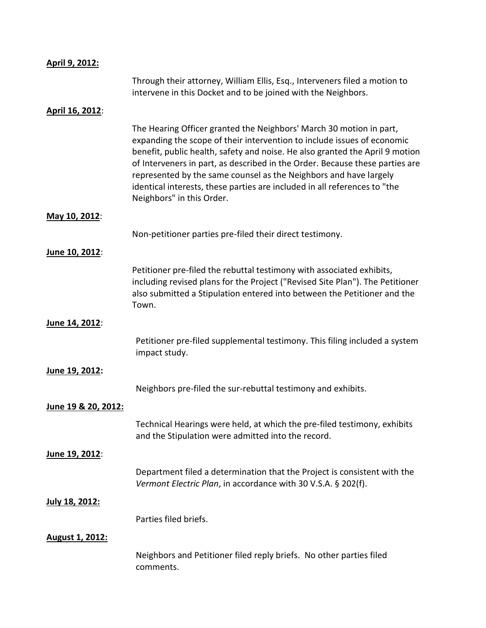| April 9, 2012:         |                                                                                                                                                                                                                                                                                                                                                                                                                                                                                               |
|------------------------|-----------------------------------------------------------------------------------------------------------------------------------------------------------------------------------------------------------------------------------------------------------------------------------------------------------------------------------------------------------------------------------------------------------------------------------------------------------------------------------------------|
|                        | Through their attorney, William Ellis, Esq., Interveners filed a motion to<br>intervene in this Docket and to be joined with the Neighbors.                                                                                                                                                                                                                                                                                                                                                   |
| April 16, 2012:        |                                                                                                                                                                                                                                                                                                                                                                                                                                                                                               |
|                        | The Hearing Officer granted the Neighbors' March 30 motion in part,<br>expanding the scope of their intervention to include issues of economic<br>benefit, public health, safety and noise. He also granted the April 9 motion<br>of Interveners in part, as described in the Order. Because these parties are<br>represented by the same counsel as the Neighbors and have largely<br>identical interests, these parties are included in all references to "the<br>Neighbors" in this Order. |
| May 10, 2012:          |                                                                                                                                                                                                                                                                                                                                                                                                                                                                                               |
|                        | Non-petitioner parties pre-filed their direct testimony.                                                                                                                                                                                                                                                                                                                                                                                                                                      |
| June 10, 2012:         |                                                                                                                                                                                                                                                                                                                                                                                                                                                                                               |
|                        | Petitioner pre-filed the rebuttal testimony with associated exhibits,<br>including revised plans for the Project ("Revised Site Plan"). The Petitioner<br>also submitted a Stipulation entered into between the Petitioner and the<br>Town.                                                                                                                                                                                                                                                   |
| June 14, 2012:         |                                                                                                                                                                                                                                                                                                                                                                                                                                                                                               |
|                        | Petitioner pre-filed supplemental testimony. This filing included a system<br>impact study.                                                                                                                                                                                                                                                                                                                                                                                                   |
| June 19, 2012:         |                                                                                                                                                                                                                                                                                                                                                                                                                                                                                               |
|                        | Neighbors pre-filed the sur-rebuttal testimony and exhibits.                                                                                                                                                                                                                                                                                                                                                                                                                                  |
| June 19 & 20, 2012:    |                                                                                                                                                                                                                                                                                                                                                                                                                                                                                               |
|                        | Technical Hearings were held, at which the pre-filed testimony, exhibits<br>and the Stipulation were admitted into the record.                                                                                                                                                                                                                                                                                                                                                                |
| June 19, 2012:         |                                                                                                                                                                                                                                                                                                                                                                                                                                                                                               |
|                        | Department filed a determination that the Project is consistent with the<br>Vermont Electric Plan, in accordance with 30 V.S.A. § 202(f).                                                                                                                                                                                                                                                                                                                                                     |
| July 18, 2012:         |                                                                                                                                                                                                                                                                                                                                                                                                                                                                                               |
|                        | Parties filed briefs.                                                                                                                                                                                                                                                                                                                                                                                                                                                                         |
| <b>August 1, 2012:</b> |                                                                                                                                                                                                                                                                                                                                                                                                                                                                                               |
|                        | Neighbors and Petitioner filed reply briefs. No other parties filed<br>comments.                                                                                                                                                                                                                                                                                                                                                                                                              |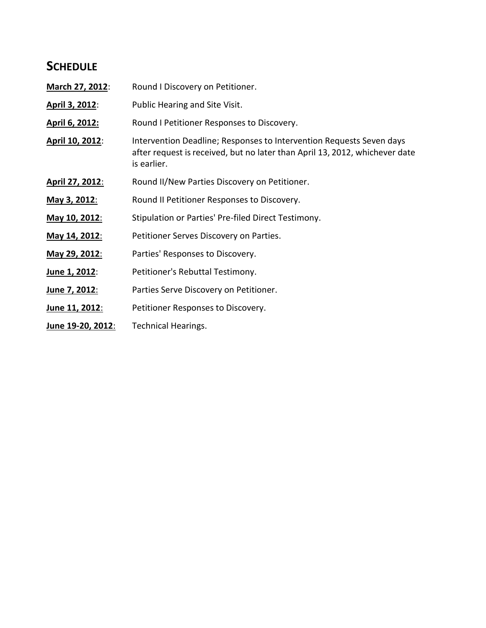## **SCHEDULE**

| March 27, 2012:   | Round I Discovery on Petitioner.                                                                                                                                   |
|-------------------|--------------------------------------------------------------------------------------------------------------------------------------------------------------------|
| April 3, 2012:    | Public Hearing and Site Visit.                                                                                                                                     |
| April 6, 2012:    | Round I Petitioner Responses to Discovery.                                                                                                                         |
| April 10, 2012:   | Intervention Deadline; Responses to Intervention Requests Seven days<br>after request is received, but no later than April 13, 2012, whichever date<br>is earlier. |
| April 27, 2012:   | Round II/New Parties Discovery on Petitioner.                                                                                                                      |
| May 3, 2012:      | Round II Petitioner Responses to Discovery.                                                                                                                        |
| May 10, 2012:     | Stipulation or Parties' Pre-filed Direct Testimony.                                                                                                                |
| May 14, 2012:     | Petitioner Serves Discovery on Parties.                                                                                                                            |
| May 29, 2012:     | Parties' Responses to Discovery.                                                                                                                                   |
| June 1, 2012:     | Petitioner's Rebuttal Testimony.                                                                                                                                   |
| June 7, 2012:     | Parties Serve Discovery on Petitioner.                                                                                                                             |
| June 11, 2012:    | Petitioner Responses to Discovery.                                                                                                                                 |
| June 19-20, 2012: | <b>Technical Hearings.</b>                                                                                                                                         |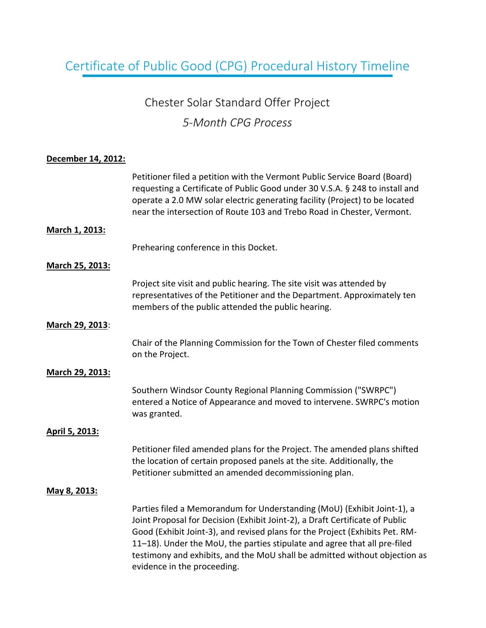# Certificate of Public Good (CPG) Procedural History Timeline

# Chester Solar Standard Offer Project *5-Month CPG Process*

## **December 14, 2012:**

|                 | Petitioner filed a petition with the Vermont Public Service Board (Board)<br>requesting a Certificate of Public Good under 30 V.S.A. § 248 to install and<br>operate a 2.0 MW solar electric generating facility (Project) to be located<br>near the intersection of Route 103 and Trebo Road in Chester, Vermont.                                                                                                                |
|-----------------|-----------------------------------------------------------------------------------------------------------------------------------------------------------------------------------------------------------------------------------------------------------------------------------------------------------------------------------------------------------------------------------------------------------------------------------|
| March 1, 2013:  |                                                                                                                                                                                                                                                                                                                                                                                                                                   |
|                 | Prehearing conference in this Docket.                                                                                                                                                                                                                                                                                                                                                                                             |
| March 25, 2013: |                                                                                                                                                                                                                                                                                                                                                                                                                                   |
|                 | Project site visit and public hearing. The site visit was attended by<br>representatives of the Petitioner and the Department. Approximately ten<br>members of the public attended the public hearing.                                                                                                                                                                                                                            |
| March 29, 2013: |                                                                                                                                                                                                                                                                                                                                                                                                                                   |
|                 | Chair of the Planning Commission for the Town of Chester filed comments<br>on the Project.                                                                                                                                                                                                                                                                                                                                        |
| March 29, 2013: |                                                                                                                                                                                                                                                                                                                                                                                                                                   |
|                 | Southern Windsor County Regional Planning Commission ("SWRPC")<br>entered a Notice of Appearance and moved to intervene. SWRPC's motion<br>was granted.                                                                                                                                                                                                                                                                           |
| April 5, 2013:  |                                                                                                                                                                                                                                                                                                                                                                                                                                   |
|                 | Petitioner filed amended plans for the Project. The amended plans shifted<br>the location of certain proposed panels at the site. Additionally, the<br>Petitioner submitted an amended decommissioning plan.                                                                                                                                                                                                                      |
| May 8, 2013:    |                                                                                                                                                                                                                                                                                                                                                                                                                                   |
|                 | Parties filed a Memorandum for Understanding (MoU) (Exhibit Joint-1), a<br>Joint Proposal for Decision (Exhibit Joint-2), a Draft Certificate of Public<br>Good (Exhibit Joint-3), and revised plans for the Project (Exhibits Pet. RM-<br>11-18). Under the MoU, the parties stipulate and agree that all pre-filed<br>testimony and exhibits, and the MoU shall be admitted without objection as<br>evidence in the proceeding. |